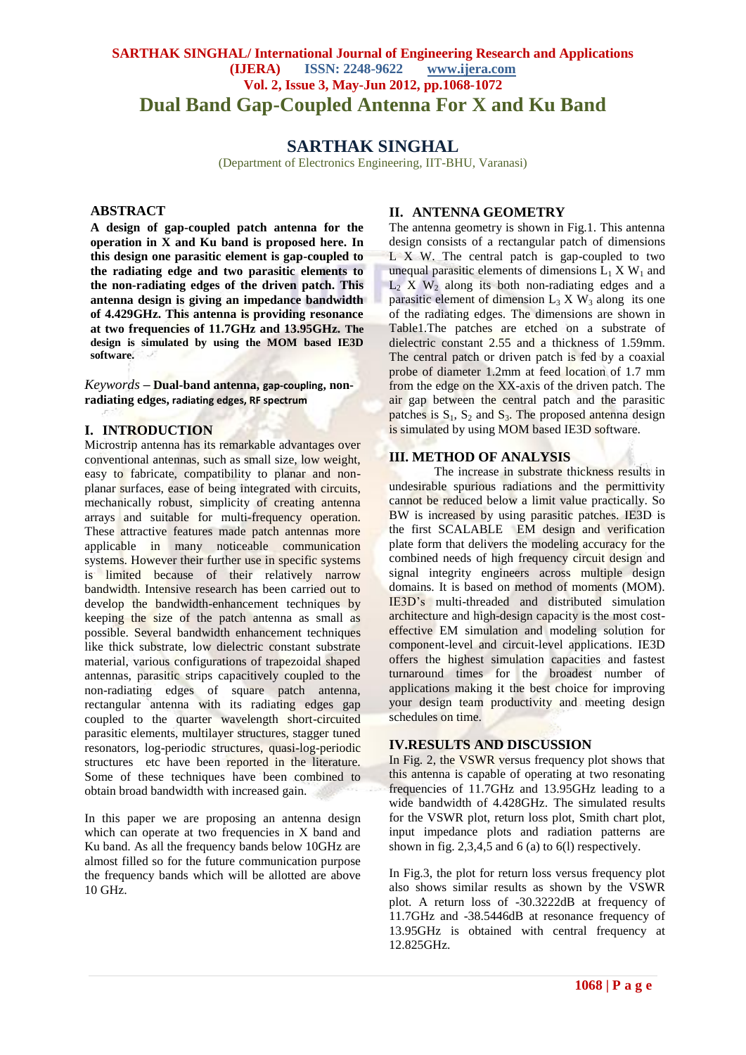# **SARTHAK SINGHAL/ International Journal of Engineering Research and Applications (IJERA) ISSN: 2248-9622 www.ijera.com Vol. 2, Issue 3, May-Jun 2012, pp.1068-1072 Dual Band Gap-Coupled Antenna For X and Ku Band**

# **SARTHAK SINGHAL**

(Department of Electronics Engineering, IIT-BHU, Varanasi)

### **ABSTRACT**

**A design of gap-coupled patch antenna for the operation in X and Ku band is proposed here. In this design one parasitic element is gap-coupled to the radiating edge and two parasitic elements to the non-radiating edges of the driven patch. This antenna design is giving an impedance bandwidth of 4.429GHz. This antenna is providing resonance at two frequencies of 11.7GHz and 13.95GHz. The design is simulated by using the MOM based IE3D software.**

*Keywords* **– Dual-band antenna, gap-coupling, nonradiating edges, radiating edges, RF spectrum**

#### **I. INTRODUCTION**

Microstrip antenna has its remarkable advantages over conventional antennas, such as small size, low weight, easy to fabricate, compatibility to planar and nonplanar surfaces, ease of being integrated with circuits, mechanically robust, simplicity of creating antenna arrays and suitable for multi-frequency operation. These attractive features made patch antennas more applicable in many noticeable communication systems. However their further use in specific systems is limited because of their relatively narrow bandwidth. Intensive research has been carried out to develop the bandwidth-enhancement techniques by keeping the size of the patch antenna as small as possible. Several bandwidth enhancement techniques like thick substrate, low dielectric constant substrate material, various configurations of trapezoidal shaped antennas, parasitic strips capacitively coupled to the non-radiating edges of square patch antenna, rectangular antenna with its radiating edges gap coupled to the quarter wavelength short-circuited parasitic elements, multilayer structures, stagger tuned resonators, log-periodic structures, quasi-log-periodic structures etc have been reported in the literature. Some of these techniques have been combined to obtain broad bandwidth with increased gain.

In this paper we are proposing an antenna design which can operate at two frequencies in X band and Ku band. As all the frequency bands below 10GHz are almost filled so for the future communication purpose the frequency bands which will be allotted are above 10 GHz.

## **II. ANTENNA GEOMETRY**

The antenna geometry is shown in Fig.1. This antenna design consists of a rectangular patch of dimensions L X W. The central patch is gap-coupled to two unequal parasitic elements of dimensions  $L_1$  X W<sub>1</sub> and  $L_2$  X W<sub>2</sub> along its both non-radiating edges and a parasitic element of dimension  $L_3$  X  $W_3$  along its one of the radiating edges. The dimensions are shown in Table1.The patches are etched on a substrate of dielectric constant 2.55 and a thickness of 1.59mm. The central patch or driven patch is fed by a coaxial probe of diameter 1.2mm at feed location of 1.7 mm from the edge on the XX-axis of the driven patch. The air gap between the central patch and the parasitic patches is  $S_1$ ,  $S_2$  and  $S_3$ . The proposed antenna design is simulated by using MOM based IE3D software.

## **III. METHOD OF ANALYSIS**

The increase in substrate thickness results in undesirable spurious radiations and the permittivity cannot be reduced below a limit value practically. So BW is increased by using parasitic patches. IE3D is the first SCALABLE EM design and verification plate form that delivers the modeling accuracy for the combined needs of high frequency circuit design and signal integrity engineers across multiple design domains. It is based on method of moments (MOM). IE3D's multi-threaded and distributed simulation architecture and high-design capacity is the most costeffective EM simulation and modeling solution for component-level and circuit-level applications. IE3D offers the highest simulation capacities and fastest turnaround times for the broadest number of applications making it the best choice for improving your design team productivity and meeting design schedules on time.

## **IV.RESULTS AND DISCUSSION**

In Fig. 2, the VSWR versus frequency plot shows that this antenna is capable of operating at two resonating frequencies of 11.7GHz and 13.95GHz leading to a wide bandwidth of 4.428GHz. The simulated results for the VSWR plot, return loss plot, Smith chart plot, input impedance plots and radiation patterns are shown in fig.  $2,3,4,5$  and 6 (a) to 6(1) respectively.

In Fig.3, the plot for return loss versus frequency plot also shows similar results as shown by the VSWR plot. A return loss of -30.3222dB at frequency of 11.7GHz and -38.5446dB at resonance frequency of 13.95GHz is obtained with central frequency at 12.825GHz.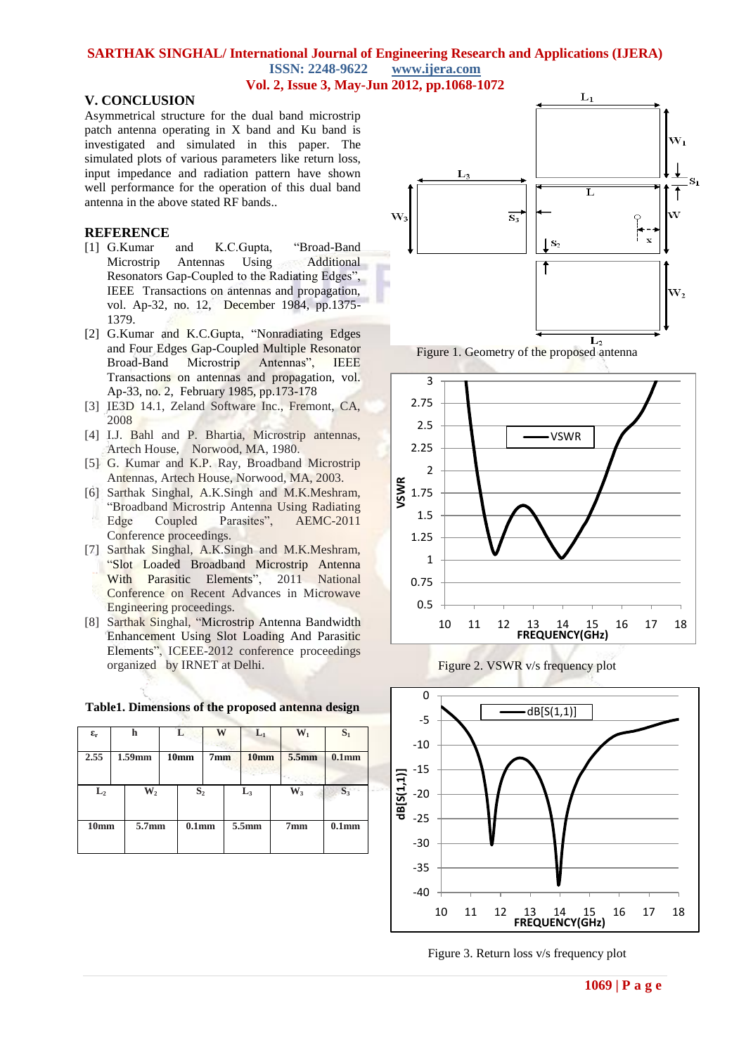#### **SARTHAK SINGHAL/ International Journal of Engineering Research and Applications (IJERA) ISSN: 2248-9622 www.ijera.com Vol. 2, Issue 3, May-Jun 2012, pp.1068-1072**

## **V. CONCLUSION**

Asymmetrical structure for the dual band microstrip patch antenna operating in X band and Ku band is investigated and simulated in this paper. The simulated plots of various parameters like return loss, input impedance and radiation pattern have shown well performance for the operation of this dual band antenna in the above stated RF bands..

### **REFERENCE**

- [1] G.Kumar and K.C.Gupta, "Broad-Band Microstrip Antennas Using Additional Resonators Gap-Coupled to the Radiating Edges", IEEE Transactions on antennas and propagation, vol. Ap-32, no. 12, December 1984, pp.1375- 1379.
- [2] G.Kumar and K.C.Gupta, "Nonradiating Edges and Four Edges Gap-Coupled Multiple Resonator Broad-Band Microstrip Antennas", IEEE Transactions on antennas and propagation, vol. Ap-33, no. 2, February 1985, pp.173-178
- [3] IE3D 14.1, Zeland Software Inc., Fremont, CA, 2008
- [4] I.J. Bahl and P. Bhartia, Microstrip antennas, Artech House, Norwood, MA, 1980.
- [5] G. Kumar and K.P. Ray, Broadband Microstrip Antennas, Artech House, Norwood, MA, 2003.
- [6] Sarthak Singhal, A.K.Singh and M.K.Meshram, "Broadband Microstrip Antenna Using Radiating Edge Coupled Parasites", AEMC-2011 Conference proceedings.
- [7] Sarthak Singhal, A.K.Singh and M.K.Meshram, "Slot Loaded Broadband Microstrip Antenna With Parasitic Elements", 2011 National Conference on Recent Advances in Microwave Engineering proceedings.
- [8] Sarthak Singhal, "Microstrip Antenna Bandwidth Enhancement Using Slot Loading And Parasitic Elements", ICEEE-2012 conference proceedings organized by IRNET at Delhi.

#### **Table1. Dimensions of the proposed antenna design**

| $\epsilon_{\rm r}$ | h      |                | L                |                   | W               |                | $L_1$            | $\mathbf{W}_1$  | $S_1$             |
|--------------------|--------|----------------|------------------|-------------------|-----------------|----------------|------------------|-----------------|-------------------|
| 2.55               | 1.59mm |                | 10 <sub>mm</sub> |                   | 7 <sub>mm</sub> |                | 10 <sub>mm</sub> | 5.5mm           | 0.1 <sub>mm</sub> |
| $L_{2}$            |        | $\mathbf{W}_2$ |                  | S <sub>2</sub>    |                 | $\mathbf{L}_3$ |                  | $W_3$           | $S_3$             |
| 10 <sub>mm</sub>   |        | 5.7mm          |                  | 0.1 <sub>mm</sub> |                 | 5.5mm          |                  | 7 <sub>mm</sub> | 0.1 <sub>mm</sub> |







Figure 2. VSWR v/s frequency plot



Figure 3. Return loss v/s frequency plot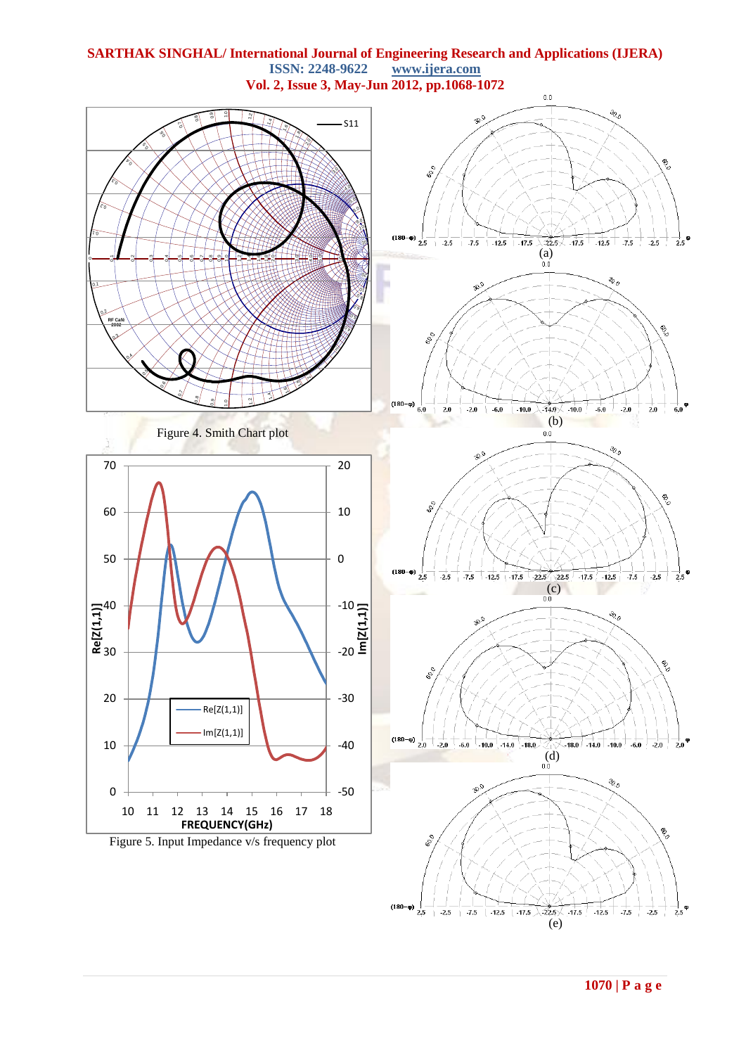

**SARTHAK SINGHAL/ International Journal of Engineering Research and Applications (IJERA) ISSN: 2248-9622** 

**1070 | P a g e**